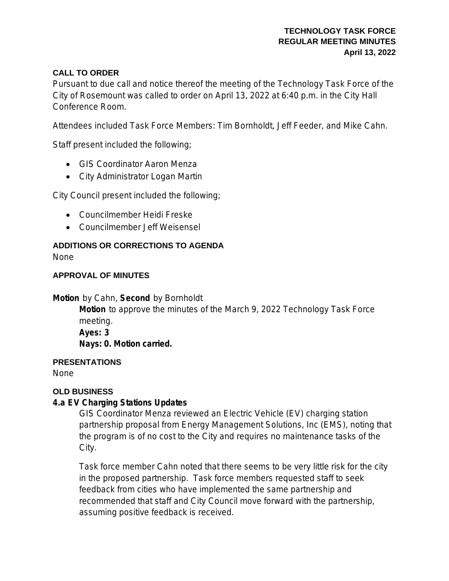## **TECHNOLOGY TASK FORCE REGULAR MEETING MINUTES April 13, 2022**

# **CALL TO ORDER**

Pursuant to due call and notice thereof the meeting of the Technology Task Force of the City of Rosemount was called to order on April 13, 2022 at 6:40 p.m. in the City Hall Conference Room.

Attendees included Task Force Members: Tim Bornholdt, Jeff Feeder, and Mike Cahn.

Staff present included the following;

- GIS Coordinator Aaron Menza
- City Administrator Logan Martin

City Council present included the following;

- Councilmember Heidi Freske
- Councilmember Jeff Weisensel

# **ADDITIONS OR CORRECTIONS TO AGENDA**

None

## **APPROVAL OF MINUTES**

**Motion** by Cahn, **Second** by Bornholdt

**Motion** to approve the minutes of the March 9, 2022 Technology Task Force meeting. **Ayes: 3**

**Nays: 0. Motion carried.**

## **PRESENTATIONS**

None

### **OLD BUSINESS**

# **4.a EV Charging Stations Updates**

GIS Coordinator Menza reviewed an Electric Vehicle (EV) charging station partnership proposal from Energy Management Solutions, Inc (EMS), noting that the program is of no cost to the City and requires no maintenance tasks of the City.

Task force member Cahn noted that there seems to be very little risk for the city in the proposed partnership. Task force members requested staff to seek feedback from cities who have implemented the same partnership and recommended that staff and City Council move forward with the partnership, assuming positive feedback is received.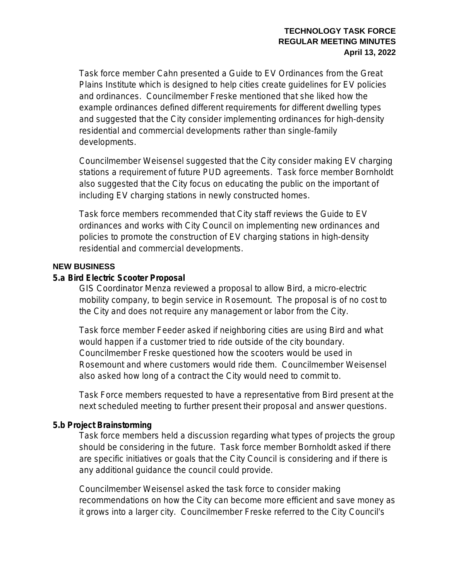### **TECHNOLOGY TASK FORCE REGULAR MEETING MINUTES April 13, 2022**

Task force member Cahn presented a Guide to EV Ordinances from the Great Plains Institute which is designed to help cities create guidelines for EV policies and ordinances. Councilmember Freske mentioned that she liked how the example ordinances defined different requirements for different dwelling types and suggested that the City consider implementing ordinances for high-density residential and commercial developments rather than single-family developments.

Councilmember Weisensel suggested that the City consider making EV charging stations a requirement of future PUD agreements. Task force member Bornholdt also suggested that the City focus on educating the public on the important of including EV charging stations in newly constructed homes.

Task force members recommended that City staff reviews the Guide to EV ordinances and works with City Council on implementing new ordinances and policies to promote the construction of EV charging stations in high-density residential and commercial developments.

## **NEW BUSINESS**

### **5.a Bird Electric Scooter Proposal**

GIS Coordinator Menza reviewed a proposal to allow Bird, a micro-electric mobility company, to begin service in Rosemount. The proposal is of no cost to the City and does not require any management or labor from the City.

Task force member Feeder asked if neighboring cities are using Bird and what would happen if a customer tried to ride outside of the city boundary. Councilmember Freske questioned how the scooters would be used in Rosemount and where customers would ride them. Councilmember Weisensel also asked how long of a contract the City would need to commit to.

Task Force members requested to have a representative from Bird present at the next scheduled meeting to further present their proposal and answer questions.

# **5.b Project Brainstorming**

Task force members held a discussion regarding what types of projects the group should be considering in the future. Task force member Bornholdt asked if there are specific initiatives or goals that the City Council is considering and if there is any additional guidance the council could provide.

Councilmember Weisensel asked the task force to consider making recommendations on how the City can become more efficient and save money as it grows into a larger city. Councilmember Freske referred to the City Council's